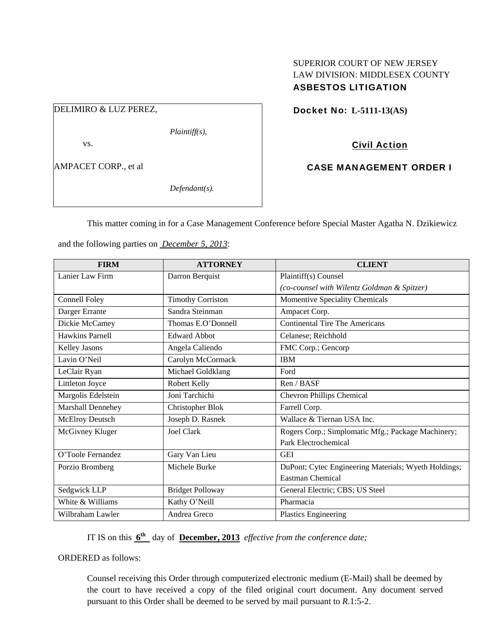### SUPERIOR COURT OF NEW JERSEY LAW DIVISION: MIDDLESEX COUNTY ASBESTOS LITIGATION

## DELIMIRO & LUZ PEREZ,

*Plaintiff(s),* 

vs.

AMPACET CORP., et al

*Defendant(s).* 

# Docket No: **L-5111-13(AS)**

# Civil Action

## CASE MANAGEMENT ORDER I

This matter coming in for a Case Management Conference before Special Master Agatha N. Dzikiewicz

and the following parties on *December 5, 2013*:

| <b>FIRM</b>            | <b>ATTORNEY</b>          | <b>CLIENT</b>                                        |
|------------------------|--------------------------|------------------------------------------------------|
| Lanier Law Firm        | Darron Berquist          | Plaintiff(s) Counsel                                 |
|                        |                          | (co-counsel with Wilentz Goldman & Spitzer)          |
| <b>Connell Foley</b>   | <b>Timothy Corriston</b> | Momentive Speciality Chemicals                       |
| Darger Errante         | Sandra Steinman          | Ampacet Corp.                                        |
| Dickie McCamey         | Thomas E.O'Donnell       | <b>Continental Tire The Americans</b>                |
| Hawkins Parnell        | <b>Edward Abbot</b>      | Celanese; Reichhold                                  |
| Kelley Jasons          | Angela Caliendo          | FMC Corp.; Gencorp                                   |
| Lavin O'Neil           | Carolyn McCormack        | <b>IBM</b>                                           |
| LeClair Ryan           | Michael Goldklang        | Ford                                                 |
| Littleton Joyce        | Robert Kelly             | Ren / BASF                                           |
| Margolis Edelstein     | Joni Tarchichi           | <b>Chevron Phillips Chemical</b>                     |
| Marshall Dennehey      | <b>Christopher Blok</b>  | Farrell Corp.                                        |
| <b>McElroy Deutsch</b> | Joseph D. Rasnek         | Wallace & Tiernan USA Inc.                           |
| McGivney Kluger        | <b>Joel Clark</b>        | Rogers Corp.; Simplomatic Mfg.; Package Machinery;   |
|                        |                          | Park Electrochemical                                 |
| O'Toole Fernandez      | Gary Van Lieu            | <b>GEI</b>                                           |
| Porzio Bromberg        | Michele Burke            | DuPont; Cytec Engineering Materials; Wyeth Holdings; |
|                        |                          | Eastman Chemical                                     |
| Sedgwick LLP           | <b>Bridget Polloway</b>  | General Electric; CBS; US Steel                      |
| White & Williams       | Kathy O'Neill            | Pharmacia                                            |
| Wilbraham Lawler       | Andrea Greco             | <b>Plastics Engineering</b>                          |

IT IS on this **6th** day of **December, 2013** *effective from the conference date;*

ORDERED as follows:

Counsel receiving this Order through computerized electronic medium (E-Mail) shall be deemed by the court to have received a copy of the filed original court document. Any document served pursuant to this Order shall be deemed to be served by mail pursuant to *R*.1:5-2.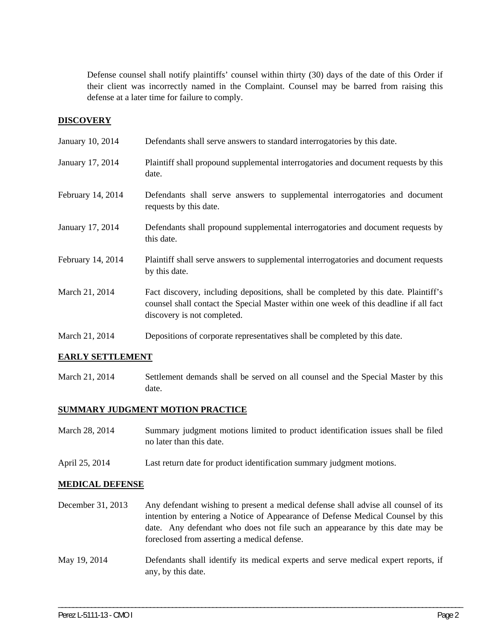Defense counsel shall notify plaintiffs' counsel within thirty (30) days of the date of this Order if their client was incorrectly named in the Complaint. Counsel may be barred from raising this defense at a later time for failure to comply.

### **DISCOVERY**

| January 10, 2014  | Defendants shall serve answers to standard interrogatories by this date.                                                                                                                                    |
|-------------------|-------------------------------------------------------------------------------------------------------------------------------------------------------------------------------------------------------------|
| January 17, 2014  | Plaintiff shall propound supplemental interrogatories and document requests by this<br>date.                                                                                                                |
| February 14, 2014 | Defendants shall serve answers to supplemental interrogatories and document<br>requests by this date.                                                                                                       |
| January 17, 2014  | Defendants shall propound supplemental interrogatories and document requests by<br>this date.                                                                                                               |
| February 14, 2014 | Plaintiff shall serve answers to supplemental interrogatories and document requests<br>by this date.                                                                                                        |
| March 21, 2014    | Fact discovery, including depositions, shall be completed by this date. Plaintiff's<br>counsel shall contact the Special Master within one week of this deadline if all fact<br>discovery is not completed. |
| March 21, 2014    | Depositions of corporate representatives shall be completed by this date.                                                                                                                                   |

### **EARLY SETTLEMENT**

March 21, 2014 Settlement demands shall be served on all counsel and the Special Master by this date.

### **SUMMARY JUDGMENT MOTION PRACTICE**

- March 28, 2014 Summary judgment motions limited to product identification issues shall be filed no later than this date.
- April 25, 2014 Last return date for product identification summary judgment motions.

#### **MEDICAL DEFENSE**

- December 31, 2013 Any defendant wishing to present a medical defense shall advise all counsel of its intention by entering a Notice of Appearance of Defense Medical Counsel by this date. Any defendant who does not file such an appearance by this date may be foreclosed from asserting a medical defense.
- May 19, 2014 Defendants shall identify its medical experts and serve medical expert reports, if any, by this date.

\_\_\_\_\_\_\_\_\_\_\_\_\_\_\_\_\_\_\_\_\_\_\_\_\_\_\_\_\_\_\_\_\_\_\_\_\_\_\_\_\_\_\_\_\_\_\_\_\_\_\_\_\_\_\_\_\_\_\_\_\_\_\_\_\_\_\_\_\_\_\_\_\_\_\_\_\_\_\_\_\_\_\_\_\_\_\_\_\_\_\_\_\_\_\_\_\_\_\_\_\_\_\_\_\_\_\_\_\_\_